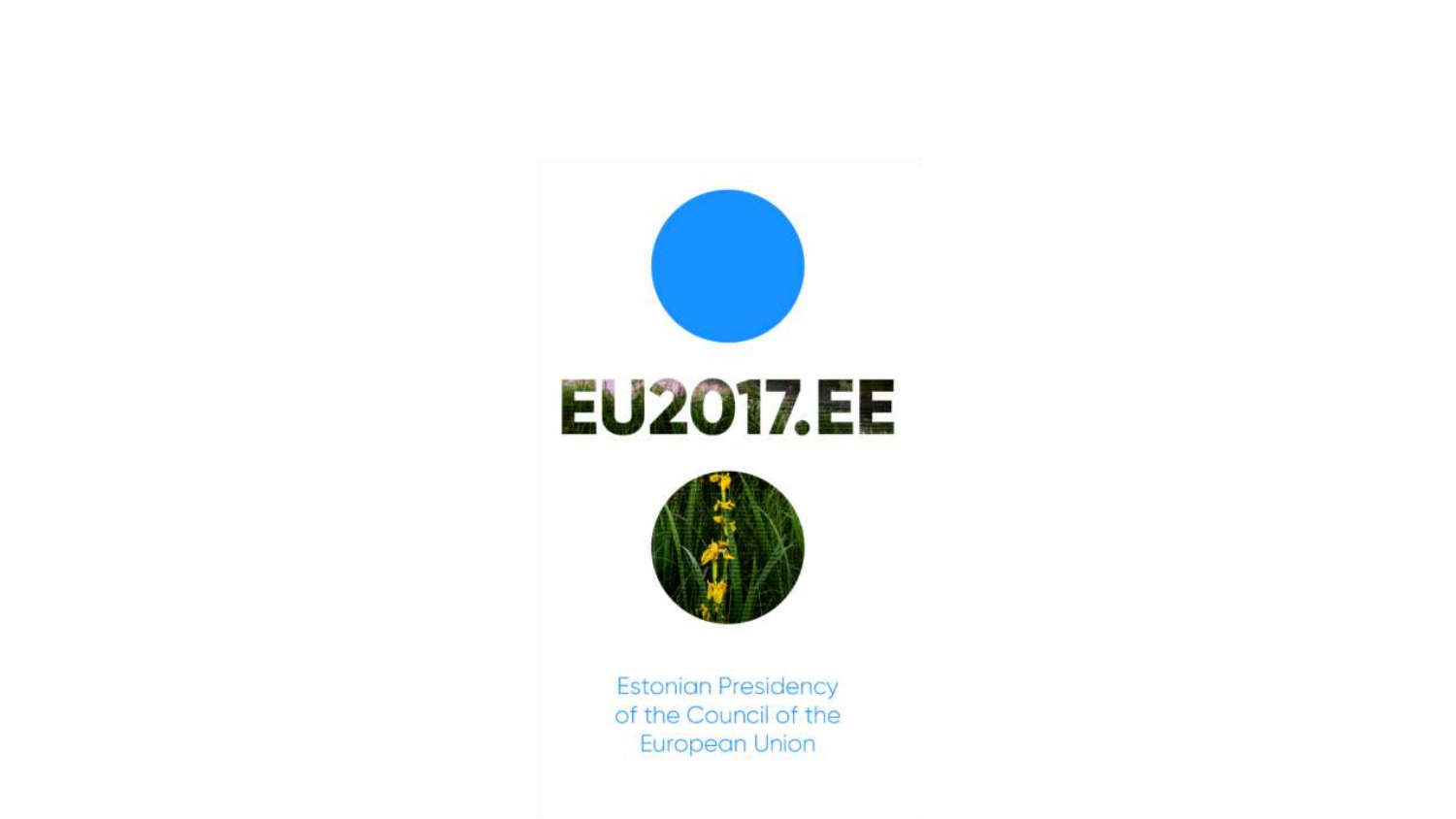

of the Council of the **European Union**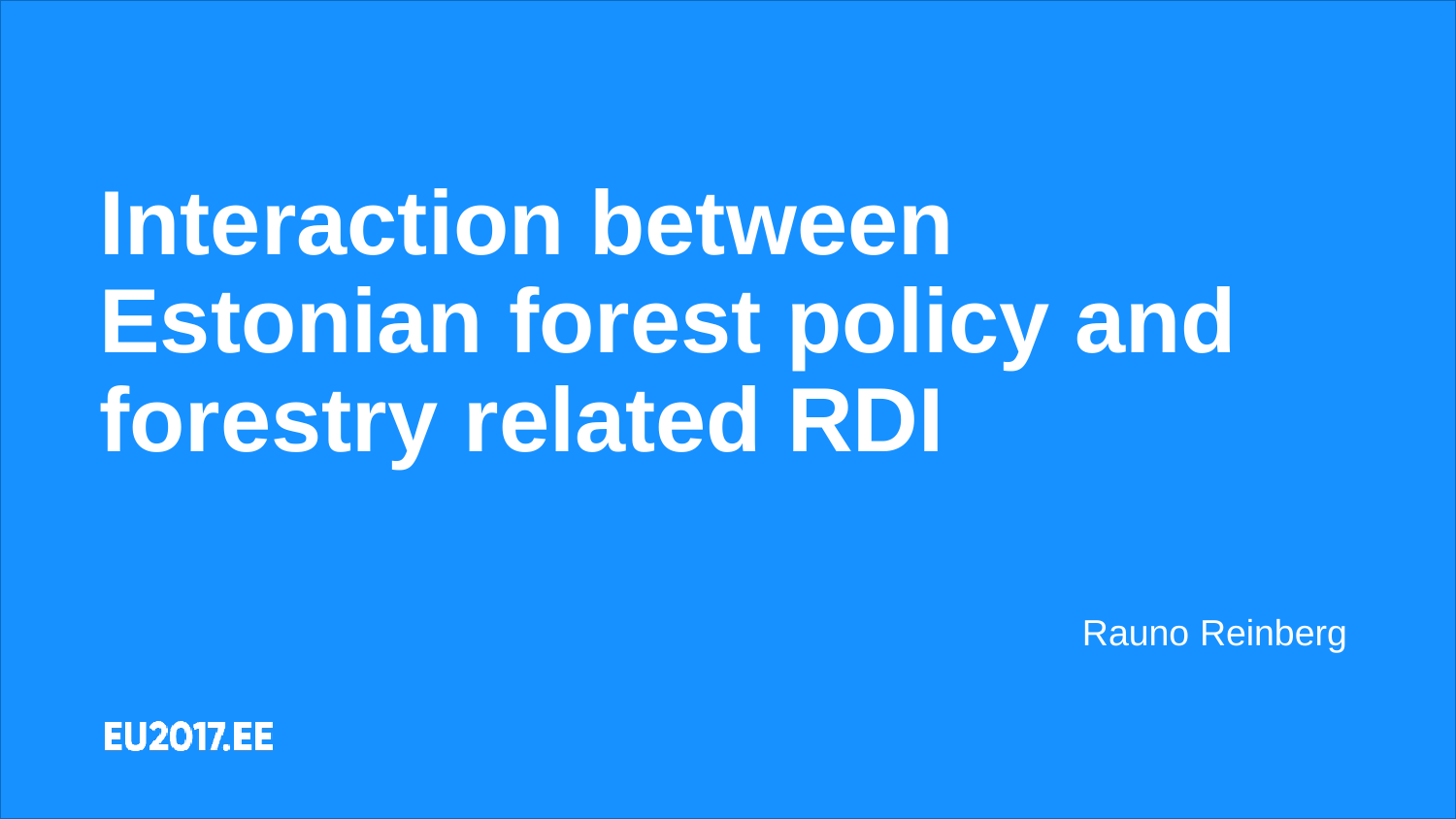## **Interaction between Estonian forest policy and forestry related RDI**

Rauno Reinberg

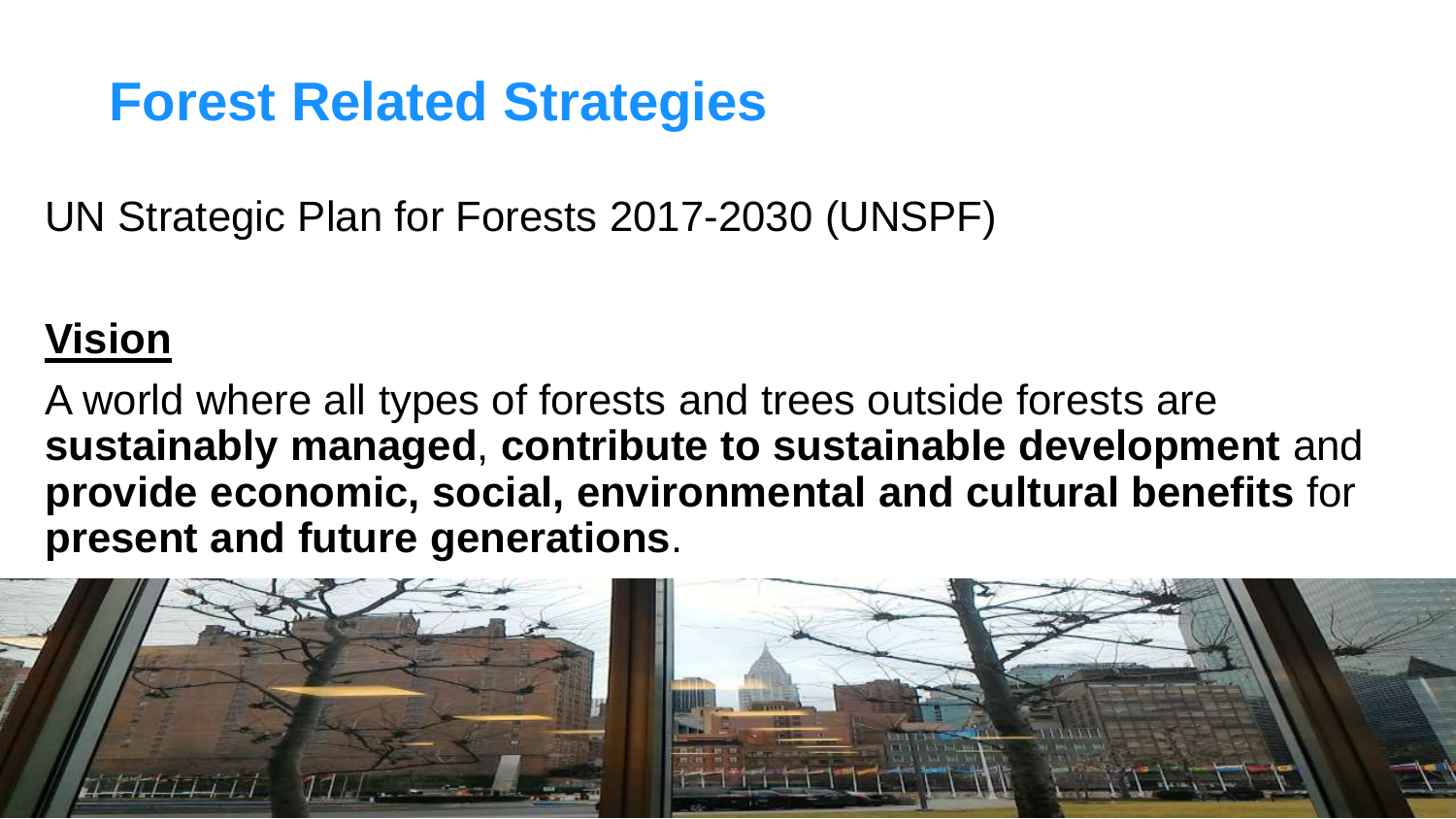UN Strategic Plan for Forests 2017-2030 (UNSPF)

## **Vision**

A world where all types of forests and trees outside forests are **sustainably managed**, **contribute to sustainable development** and **provide economic, social, environmental and cultural benefits** for **present and future generations**.

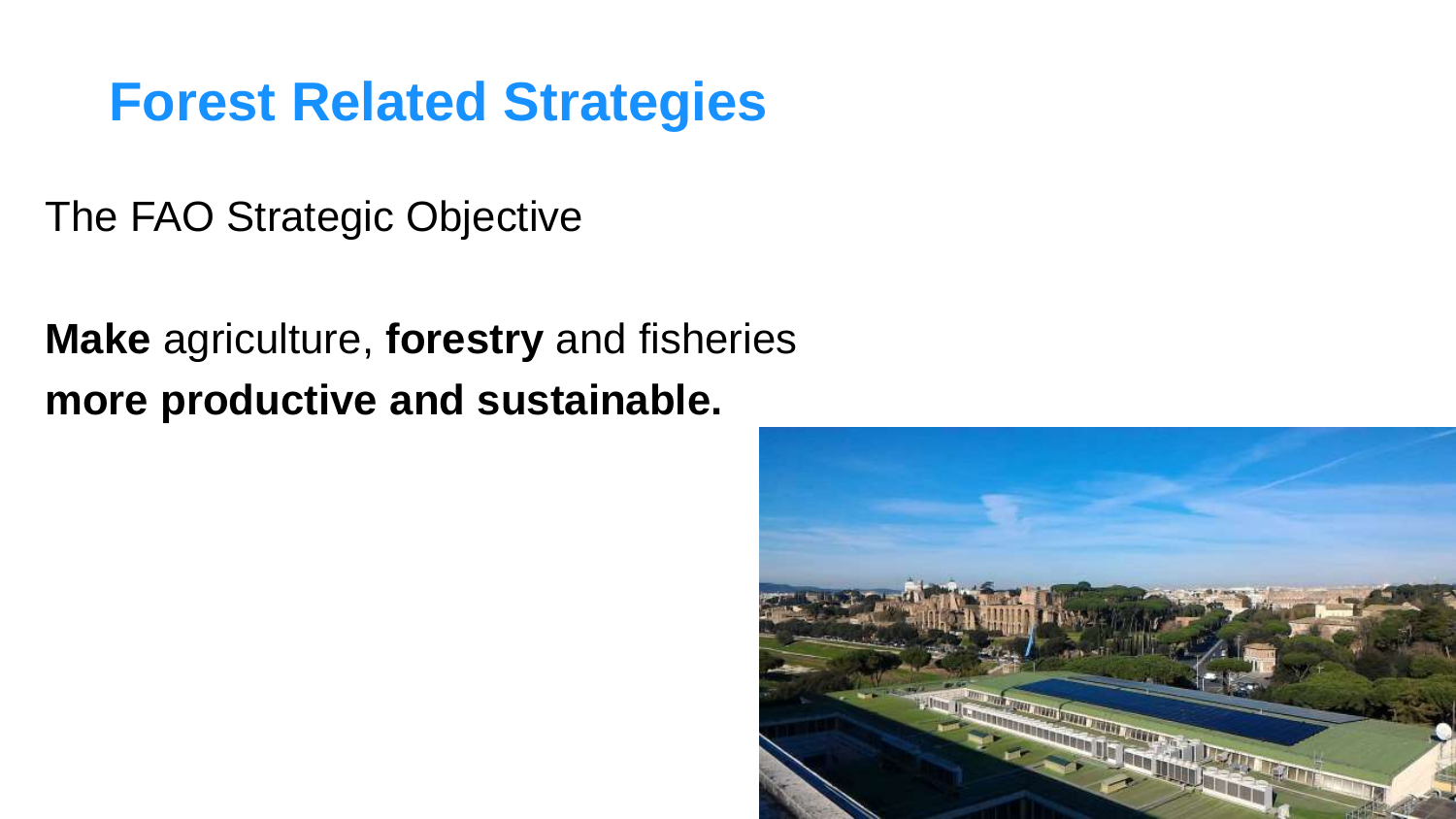The FAO Strategic Objective

**Make** agriculture, **forestry** and fisheries **more productive and sustainable.**

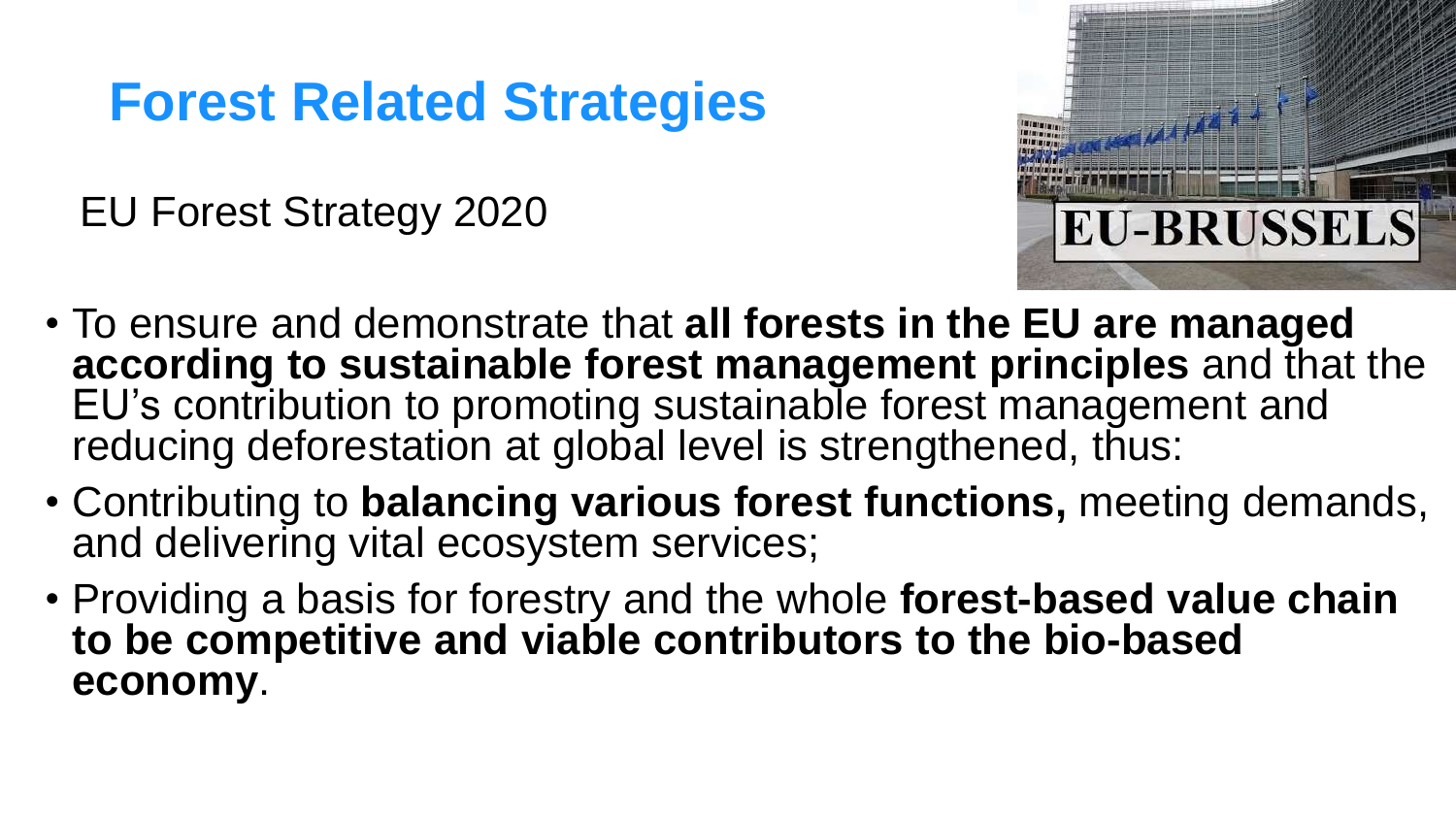EU Forest Strategy 2020



- To ensure and demonstrate that **all forests in the EU are managed according to sustainable forest management principles** and that the EU's contribution to promoting sustainable forest management and reducing deforestation at global level is strengthened, thus:
- Contributing to **balancing various forest functions,** meeting demands, and delivering vital ecosystem services;
- Providing a basis for forestry and the whole **forest-based value chain to be competitive and viable contributors to the bio-based economy**.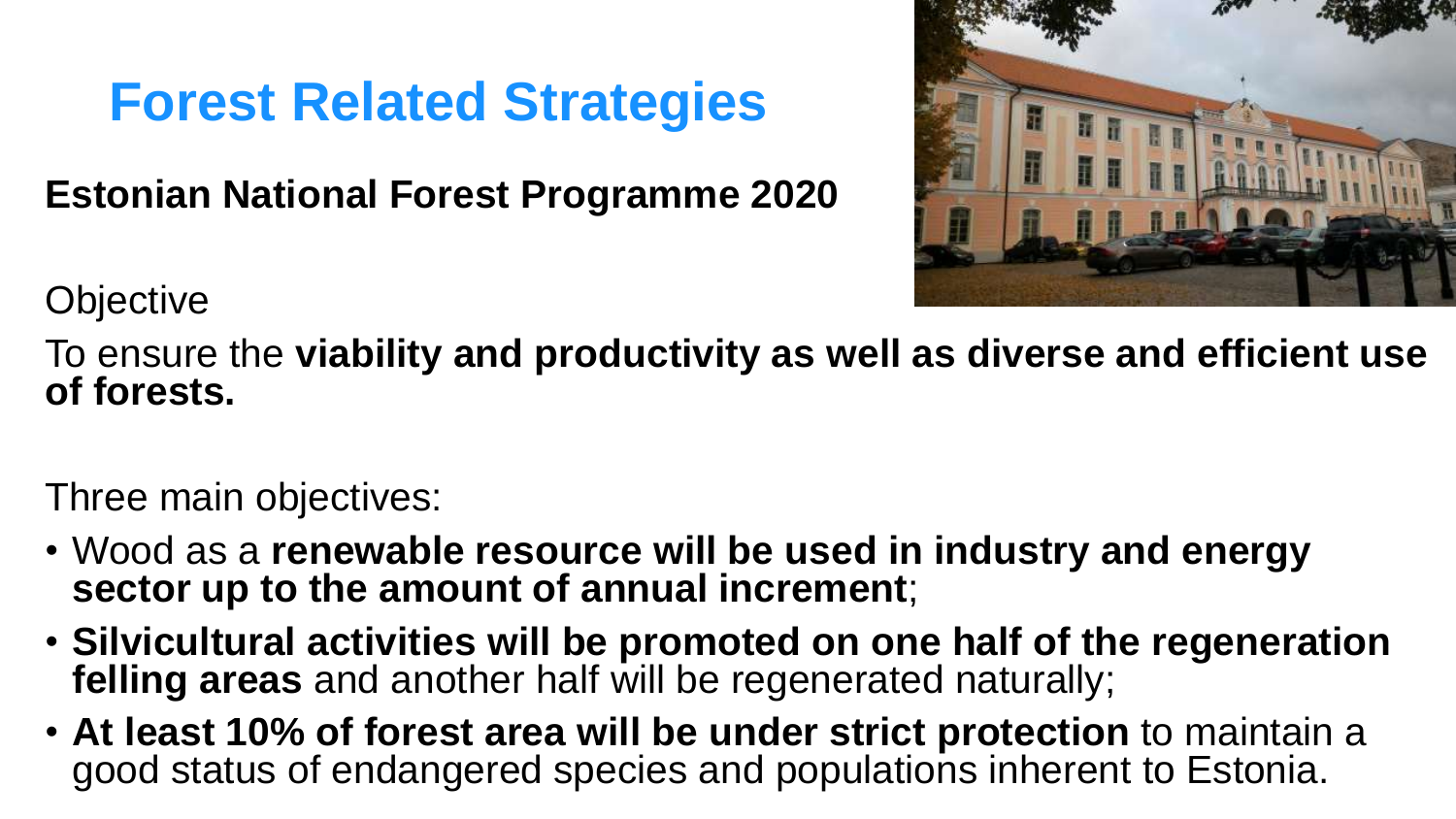**Estonian National Forest Programme 2020** 



**Objective** 

To ensure the **viability and productivity as well as diverse and efficient use of forests.** 

Three main objectives:

- Wood as a **renewable resource will be used in industry and energy sector up to the amount of annual increment**;
- **Silvicultural activities will be promoted on one half of the regeneration felling areas** and another half will be regenerated naturally;
- **At least 10% of forest area will be under strict protection** to maintain a good status of endangered species and populations inherent to Estonia.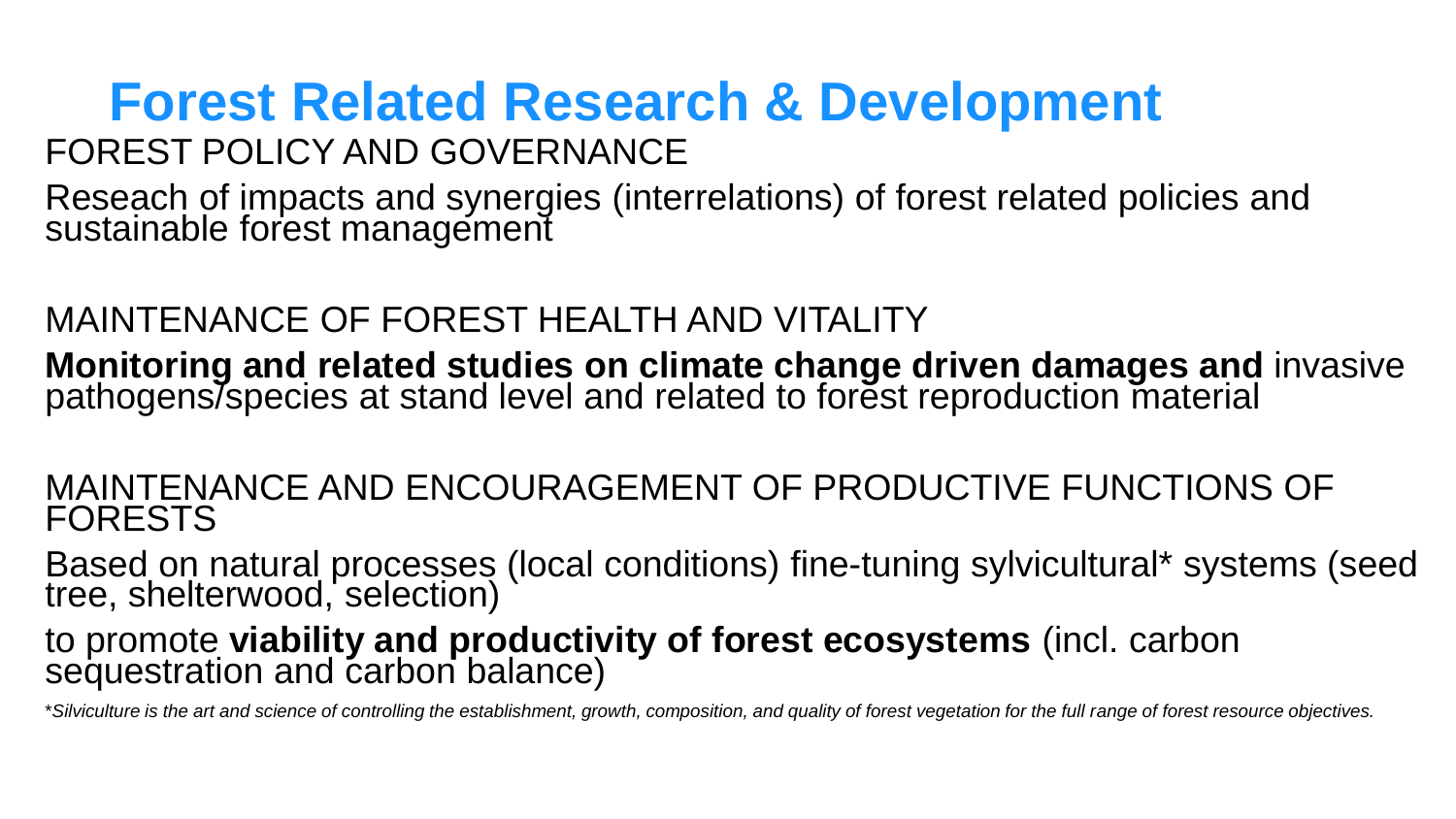## **Forest Related Research & Development** FOREST POLICY AND GOVERNANCE

Reseach of impacts and synergies (interrelations) of forest related policies and sustainable forest management

### MAINTENANCE OF FOREST HEALTH AND VITALITY

**Monitoring and related studies on climate change driven damages and** invasive pathogens/species at stand level and related to forest reproduction material

#### MAINTENANCE AND ENCOURAGEMENT OF PRODUCTIVE FUNCTIONS OF FORESTS

Based on natural processes (local conditions) fine-tuning sylvicultural\* systems (seed tree, shelterwood, selection)

#### to promote **viability and productivity of forest ecosystems** (incl. carbon sequestration and carbon balance)

\**Silviculture is the art and science of controlling the establishment, growth, composition, and quality of forest vegetation for the full range of forest resource objectives.*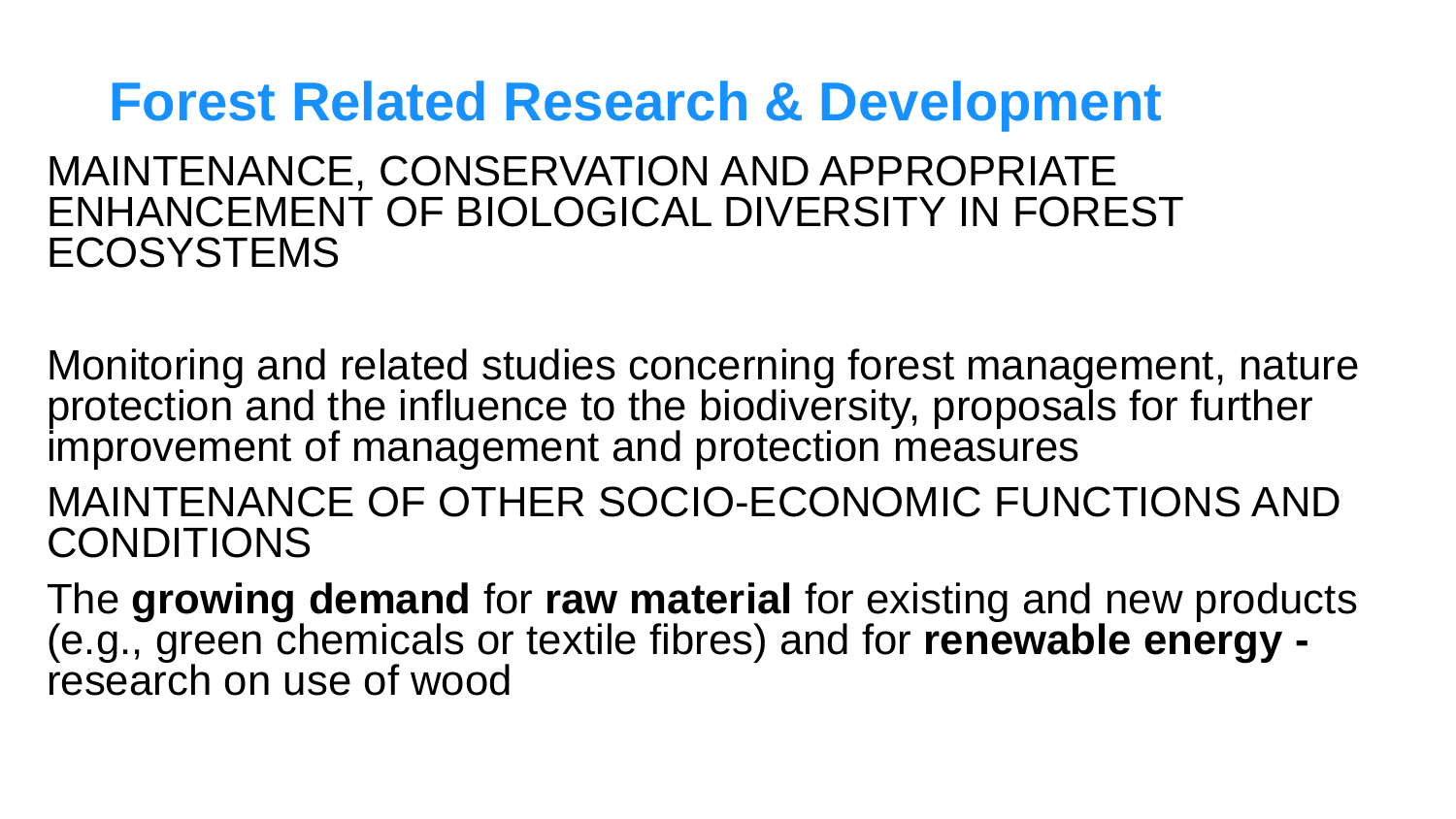## **Forest Related Research & Development**

MAINTENANCE, CONSERVATION AND APPROPRIATE ENHANCEMENT OF BIOLOGICAL DIVERSITY IN FOREST **ECOSYSTEMS** 

Monitoring and related studies concerning forest management, nature protection and the influence to the biodiversity, proposals for further improvement of management and protection measures

MAINTENANCE OF OTHER SOCIO-ECONOMIC FUNCTIONS AND CONDITIONS

The **growing demand** for **raw material** for existing and new products (e.g., green chemicals or textile fibres) and for **renewable energy**  research on use of wood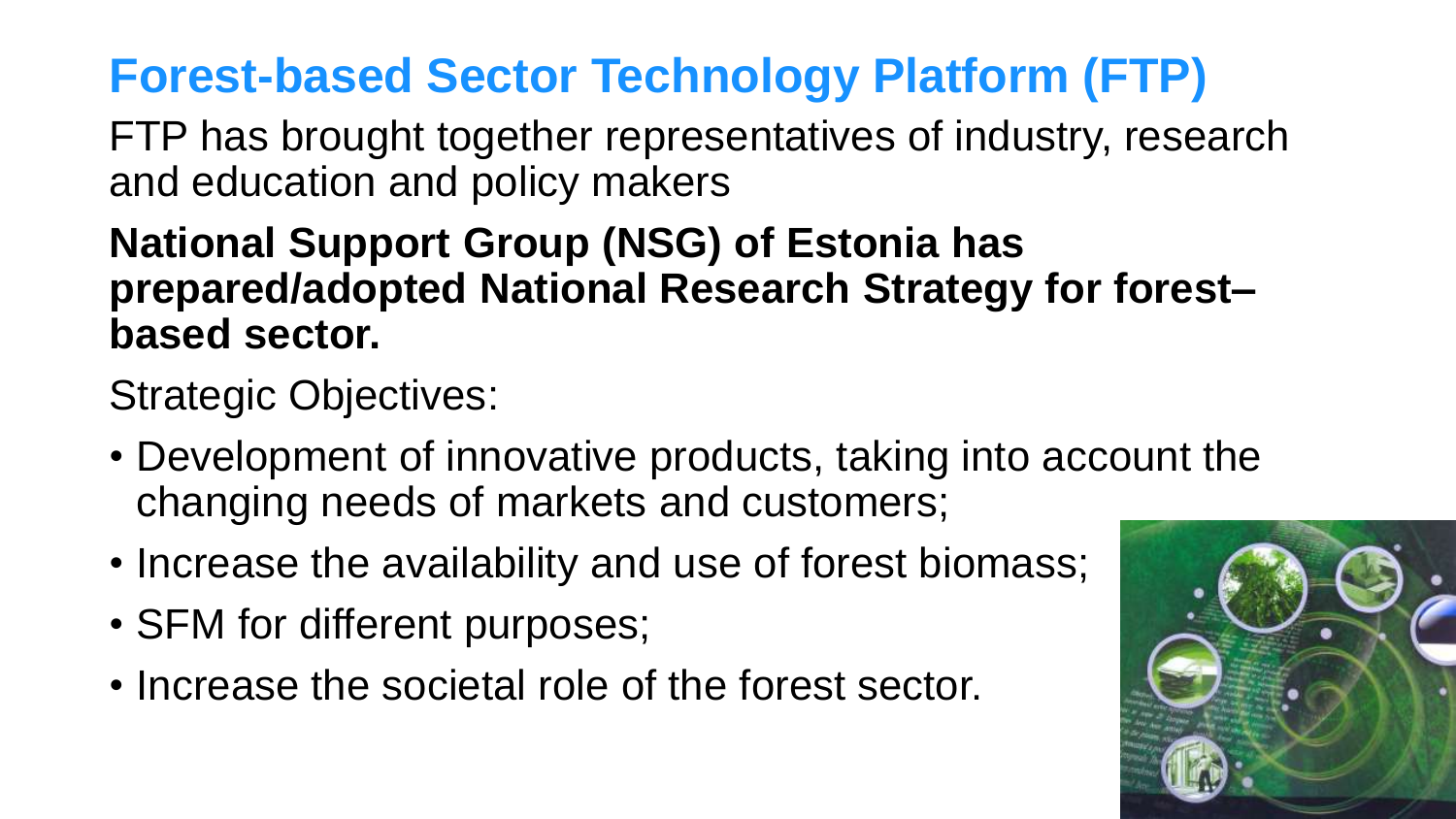## **Forest-based Sector Technology Platform (FTP)**

FTP has brought together representatives of industry, research and education and policy makers

### **National Support Group (NSG) of Estonia has prepared/adopted National Research Strategy for forest– based sector.**

Strategic Objectives:

- Development of innovative products, taking into account the changing needs of markets and customers;
- Increase the availability and use of forest biomass;
- SFM for different purposes;
- Increase the societal role of the forest sector.

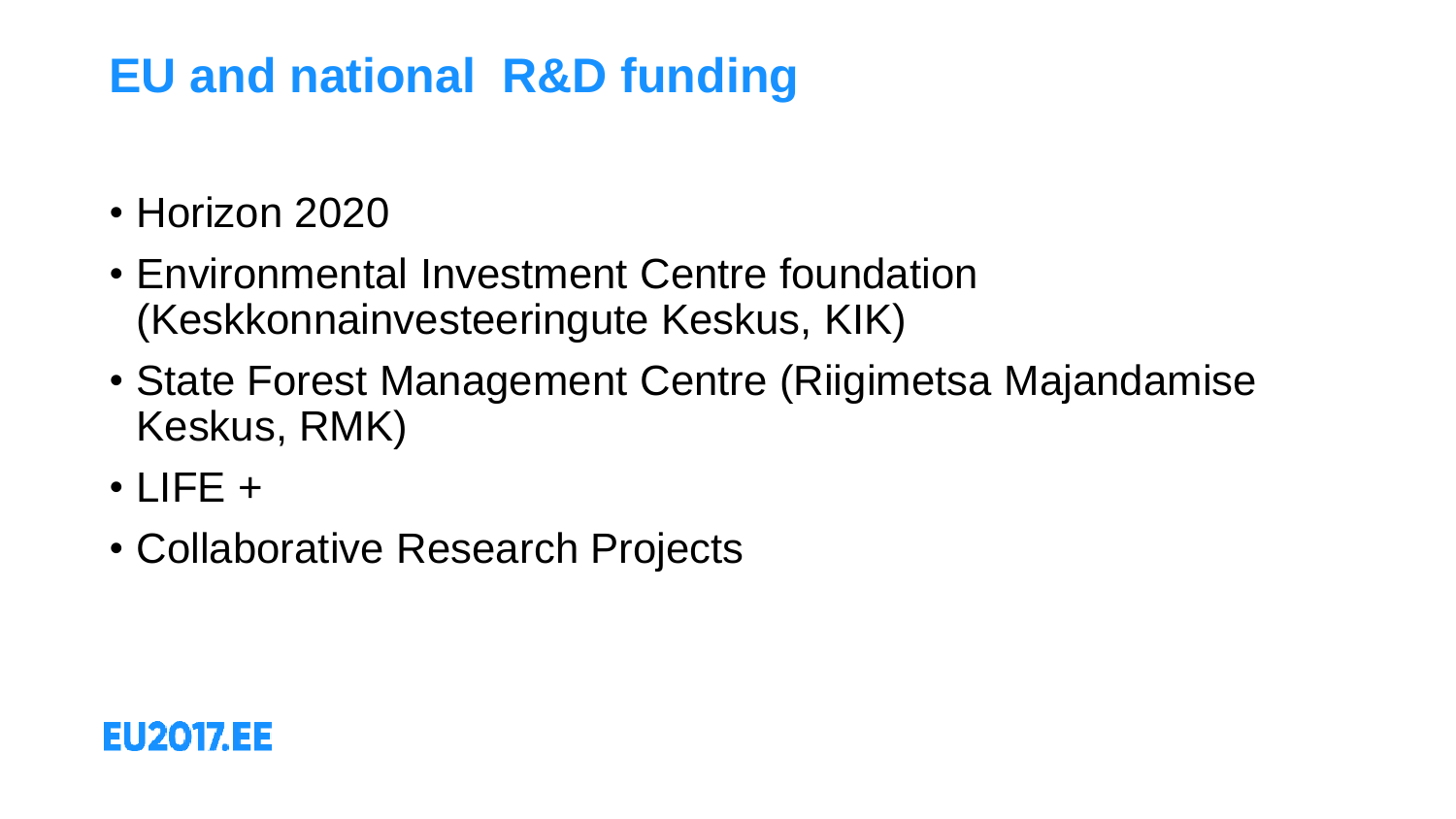## **EU and national R&D funding**

- Horizon 2020
- Environmental Investment Centre foundation (Keskkonnainvesteeringute Keskus, KIK)
- State Forest Management Centre (Riigimetsa Majandamise Keskus, RMK)
- $\cdot$  LIFE  $+$
- Collaborative Research Projects

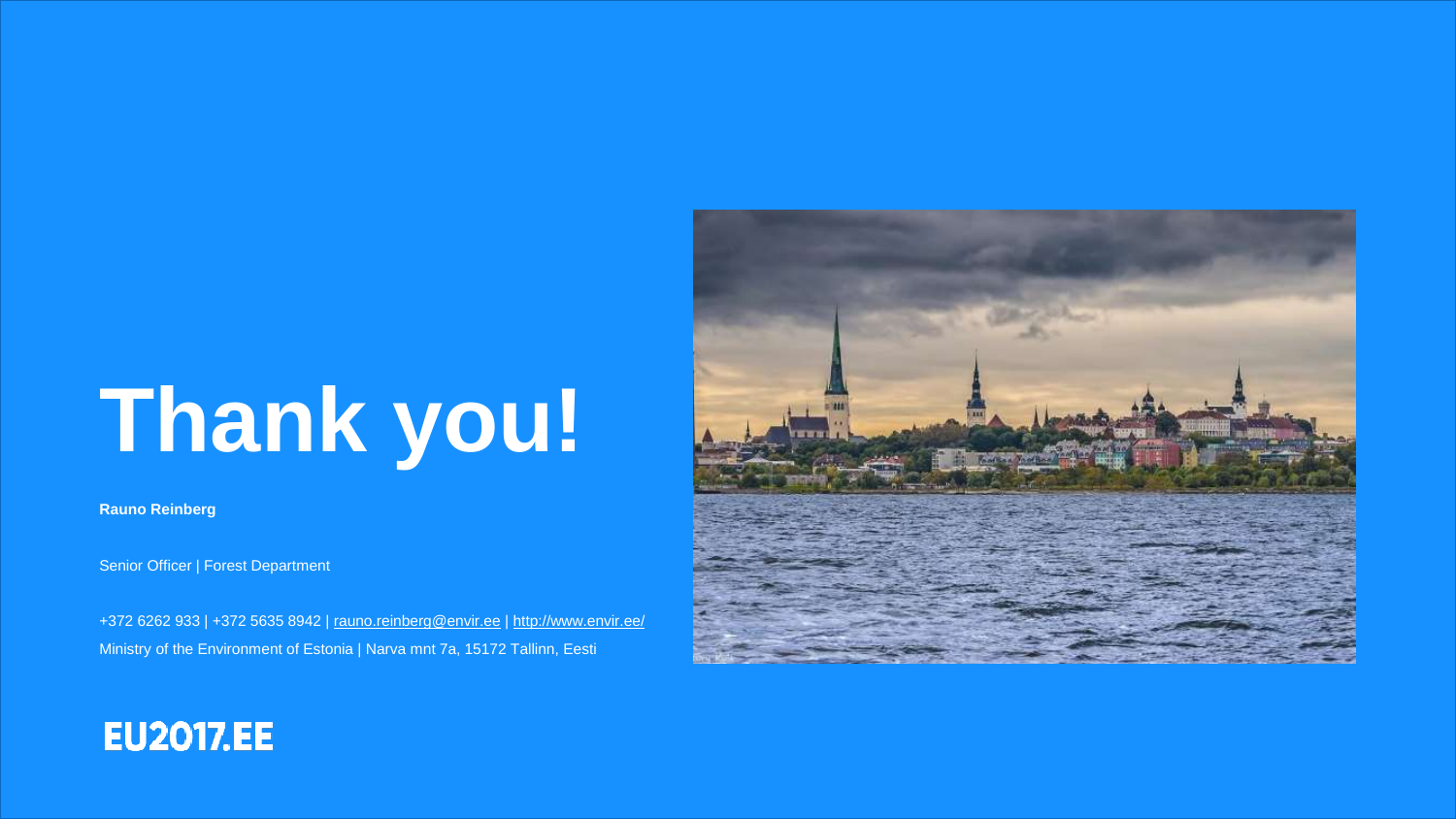# **Thank you!**

**Rauno Reinberg**

Senior Officer | Forest Department

+372 6262 933 | +372 5635 8942 | [rauno.reinberg@envir.ee](mailto:rauno.reinberg@envir.ee) |<http://www.envir.ee/> Ministry of the Environment of Estonia | Narva mnt 7a, 15172 Tallinn, Eesti



### **EU2017.EE**